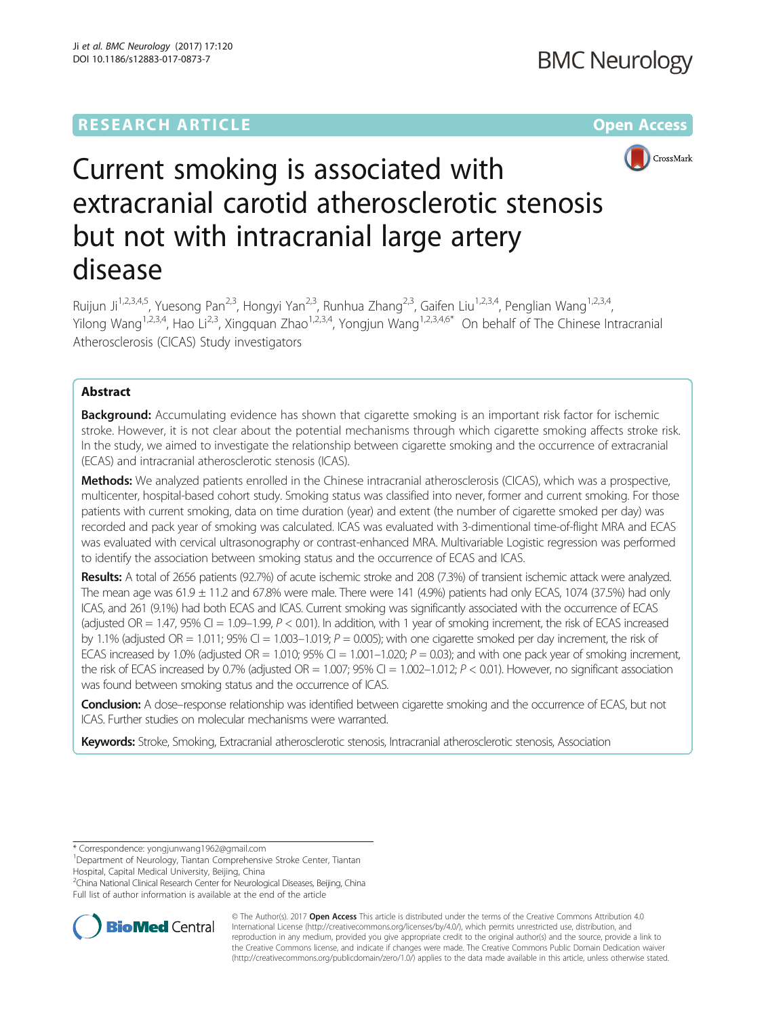# **RESEARCH ARTICLE Example 2014 12:30 The Contract of Contract Article 2014**



# Current smoking is associated with extracranial carotid atherosclerotic stenosis but not with intracranial large artery disease

Ruijun Ji<sup>1,2,3,4,5</sup>, Yuesong Pan<sup>2,3</sup>, Hongyi Yan<sup>2,3</sup>, Runhua Zhang<sup>2,3</sup>, Gaifen Liu<sup>1,2,3,4</sup>, Penglian Wang<sup>1,2,3,4</sup>, Yilong Wang<sup>1,2,3,4</sup>, Hao Li<sup>2,3</sup>, Xingquan Zhao<sup>1,2,3,4</sup>, Yongjun Wang<sup>1,2,3,4,6\*</sup> On behalf of The Chinese Intracranial Atherosclerosis (CICAS) Study investigators

# Abstract

**Background:** Accumulating evidence has shown that cigarette smoking is an important risk factor for ischemic stroke. However, it is not clear about the potential mechanisms through which cigarette smoking affects stroke risk. In the study, we aimed to investigate the relationship between cigarette smoking and the occurrence of extracranial (ECAS) and intracranial atherosclerotic stenosis (ICAS).

Methods: We analyzed patients enrolled in the Chinese intracranial atherosclerosis (CICAS), which was a prospective, multicenter, hospital-based cohort study. Smoking status was classified into never, former and current smoking. For those patients with current smoking, data on time duration (year) and extent (the number of cigarette smoked per day) was recorded and pack year of smoking was calculated. ICAS was evaluated with 3-dimentional time-of-flight MRA and ECAS was evaluated with cervical ultrasonography or contrast-enhanced MRA. Multivariable Logistic regression was performed to identify the association between smoking status and the occurrence of ECAS and ICAS.

Results: A total of 2656 patients (92.7%) of acute ischemic stroke and 208 (7.3%) of transient ischemic attack were analyzed. The mean age was  $61.9 \pm 11.2$  and  $67.8\%$  were male. There were 141 (4.9%) patients had only ECAS, 1074 (37.5%) had only ICAS, and 261 (9.1%) had both ECAS and ICAS. Current smoking was significantly associated with the occurrence of ECAS (adjusted OR = 1.47, 95% CI = 1.09–1.99,  $P < 0.01$ ). In addition, with 1 year of smoking increment, the risk of ECAS increased by 1.1% (adjusted OR = 1.011; 95% CI = 1.003–1.019;  $P = 0.005$ ); with one cigarette smoked per day increment, the risk of ECAS increased by 1.0% (adjusted OR = 1.010; 95% CI = 1.001–1.020;  $P = 0.03$ ); and with one pack year of smoking increment, the risk of ECAS increased by 0.7% (adjusted OR =  $1.007$ ; 95% CI =  $1.002-1.012$ ;  $P < 0.01$ ). However, no significant association was found between smoking status and the occurrence of ICAS.

Conclusion: A dose–response relationship was identified between cigarette smoking and the occurrence of ECAS, but not ICAS. Further studies on molecular mechanisms were warranted.

Keywords: Stroke, Smoking, Extracranial atherosclerotic stenosis, Intracranial atherosclerotic stenosis, Association

\* Correspondence: [yongjunwang1962@gmail.com](mailto:yongjunwang1962@gmail.com) <sup>1</sup>

<sup>2</sup>China National Clinical Research Center for Neurological Diseases, Beijing, China Full list of author information is available at the end of the article



© The Author(s). 2017 **Open Access** This article is distributed under the terms of the Creative Commons Attribution 4.0 International License [\(http://creativecommons.org/licenses/by/4.0/](http://creativecommons.org/licenses/by/4.0/)), which permits unrestricted use, distribution, and reproduction in any medium, provided you give appropriate credit to the original author(s) and the source, provide a link to the Creative Commons license, and indicate if changes were made. The Creative Commons Public Domain Dedication waiver [\(http://creativecommons.org/publicdomain/zero/1.0/](http://creativecommons.org/publicdomain/zero/1.0/)) applies to the data made available in this article, unless otherwise stated.

<sup>&</sup>lt;sup>1</sup>Department of Neurology, Tiantan Comprehensive Stroke Center, Tiantan Hospital, Capital Medical University, Beijing, China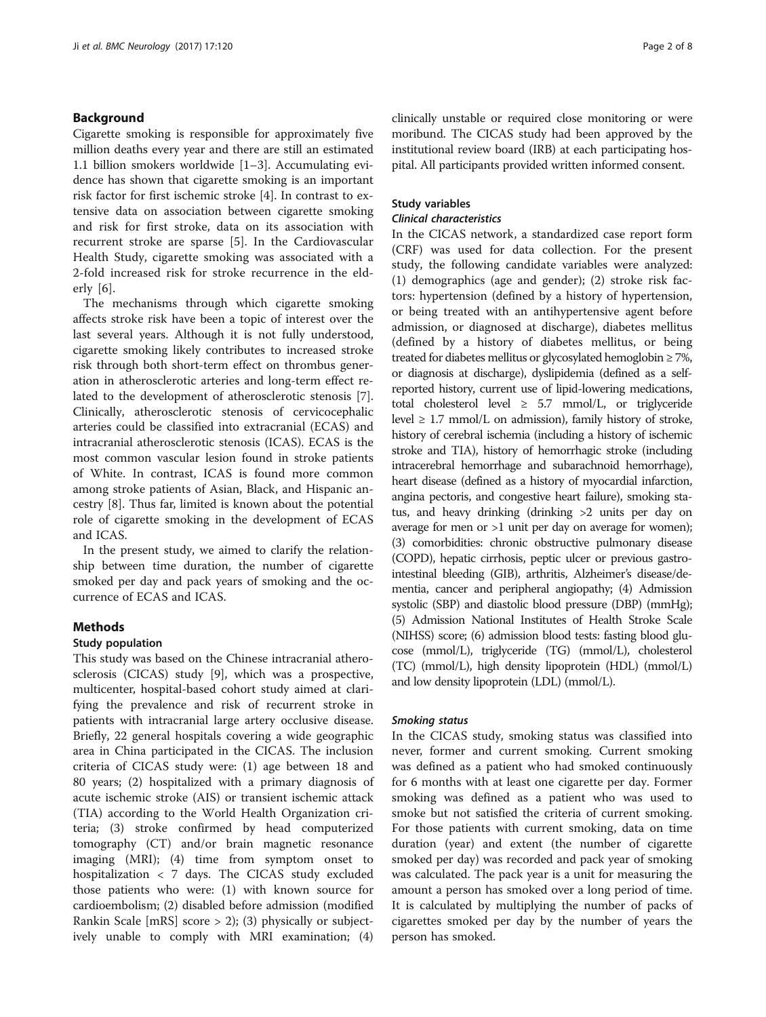# Background

Cigarette smoking is responsible for approximately five million deaths every year and there are still an estimated 1.1 billion smokers worldwide [\[1](#page-7-0)–[3](#page-7-0)]. Accumulating evidence has shown that cigarette smoking is an important risk factor for first ischemic stroke [\[4\]](#page-7-0). In contrast to extensive data on association between cigarette smoking and risk for first stroke, data on its association with recurrent stroke are sparse [[5\]](#page-7-0). In the Cardiovascular Health Study, cigarette smoking was associated with a 2-fold increased risk for stroke recurrence in the elderly [\[6](#page-7-0)].

The mechanisms through which cigarette smoking affects stroke risk have been a topic of interest over the last several years. Although it is not fully understood, cigarette smoking likely contributes to increased stroke risk through both short-term effect on thrombus generation in atherosclerotic arteries and long-term effect related to the development of atherosclerotic stenosis [\[7](#page-7-0)]. Clinically, atherosclerotic stenosis of cervicocephalic arteries could be classified into extracranial (ECAS) and intracranial atherosclerotic stenosis (ICAS). ECAS is the most common vascular lesion found in stroke patients of White. In contrast, ICAS is found more common among stroke patients of Asian, Black, and Hispanic ancestry [[8\]](#page-7-0). Thus far, limited is known about the potential role of cigarette smoking in the development of ECAS and ICAS.

In the present study, we aimed to clarify the relationship between time duration, the number of cigarette smoked per day and pack years of smoking and the occurrence of ECAS and ICAS.

# Methods

#### Study population

This study was based on the Chinese intracranial atherosclerosis (CICAS) study [[9\]](#page-7-0), which was a prospective, multicenter, hospital-based cohort study aimed at clarifying the prevalence and risk of recurrent stroke in patients with intracranial large artery occlusive disease. Briefly, 22 general hospitals covering a wide geographic area in China participated in the CICAS. The inclusion criteria of CICAS study were: (1) age between 18 and 80 years; (2) hospitalized with a primary diagnosis of acute ischemic stroke (AIS) or transient ischemic attack (TIA) according to the World Health Organization criteria; (3) stroke confirmed by head computerized tomography (CT) and/or brain magnetic resonance imaging (MRI); (4) time from symptom onset to hospitalization < 7 days. The CICAS study excluded those patients who were: (1) with known source for cardioembolism; (2) disabled before admission (modified Rankin Scale [mRS] score > 2); (3) physically or subjectively unable to comply with MRI examination; (4) clinically unstable or required close monitoring or were moribund. The CICAS study had been approved by the institutional review board (IRB) at each participating hospital. All participants provided written informed consent.

# Study variables

# Clinical characteristics

In the CICAS network, a standardized case report form (CRF) was used for data collection. For the present study, the following candidate variables were analyzed: (1) demographics (age and gender); (2) stroke risk factors: hypertension (defined by a history of hypertension, or being treated with an antihypertensive agent before admission, or diagnosed at discharge), diabetes mellitus (defined by a history of diabetes mellitus, or being treated for diabetes mellitus or glycosylated hemoglobin ≥ 7%, or diagnosis at discharge), dyslipidemia (defined as a selfreported history, current use of lipid-lowering medications, total cholesterol level  $\geq$  5.7 mmol/L, or triglyceride level  $\geq$  1.7 mmol/L on admission), family history of stroke, history of cerebral ischemia (including a history of ischemic stroke and TIA), history of hemorrhagic stroke (including intracerebral hemorrhage and subarachnoid hemorrhage), heart disease (defined as a history of myocardial infarction, angina pectoris, and congestive heart failure), smoking status, and heavy drinking (drinking >2 units per day on average for men or >1 unit per day on average for women); (3) comorbidities: chronic obstructive pulmonary disease (COPD), hepatic cirrhosis, peptic ulcer or previous gastrointestinal bleeding (GIB), arthritis, Alzheimer's disease/dementia, cancer and peripheral angiopathy; (4) Admission systolic (SBP) and diastolic blood pressure (DBP) (mmHg); (5) Admission National Institutes of Health Stroke Scale (NIHSS) score; (6) admission blood tests: fasting blood glucose (mmol/L), triglyceride (TG) (mmol/L), cholesterol (TC) (mmol/L), high density lipoprotein (HDL) (mmol/L) and low density lipoprotein (LDL) (mmol/L).

#### Smoking status

In the CICAS study, smoking status was classified into never, former and current smoking. Current smoking was defined as a patient who had smoked continuously for 6 months with at least one cigarette per day. Former smoking was defined as a patient who was used to smoke but not satisfied the criteria of current smoking. For those patients with current smoking, data on time duration (year) and extent (the number of cigarette smoked per day) was recorded and pack year of smoking was calculated. The pack year is a unit for measuring the amount a person has smoked over a long period of time. It is calculated by multiplying the number of packs of cigarettes smoked per day by the number of years the person has smoked.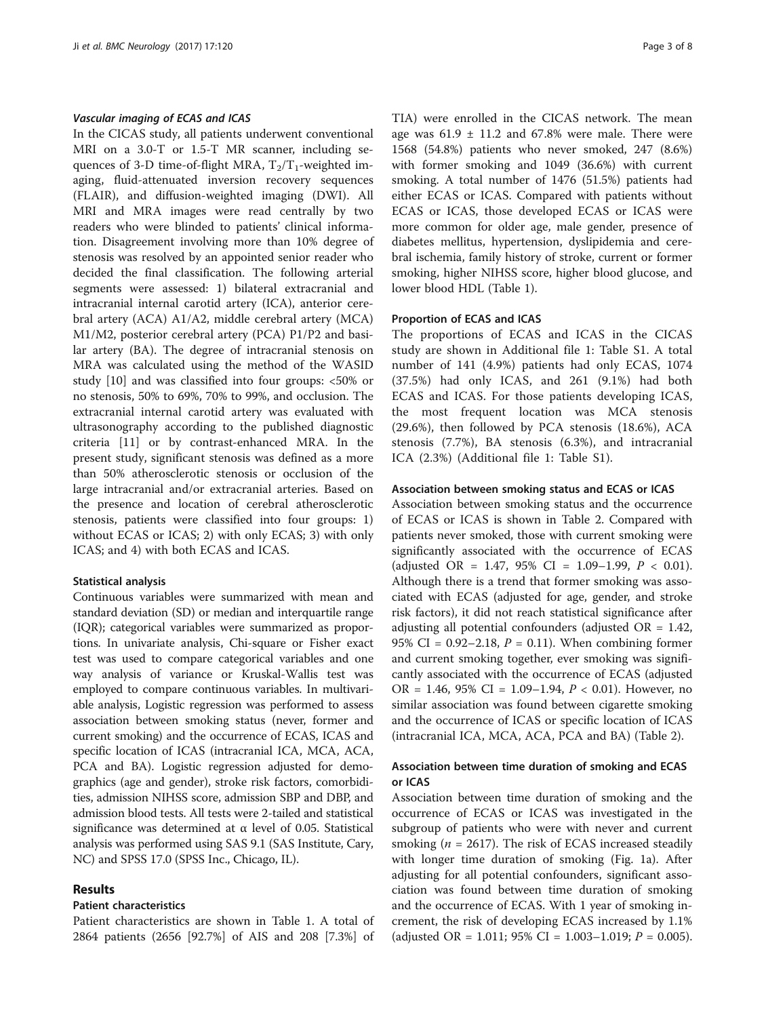#### Vascular imaging of ECAS and ICAS

In the CICAS study, all patients underwent conventional MRI on a 3.0-T or 1.5-T MR scanner, including sequences of 3-D time-of-flight MRA,  $T_2/T_1$ -weighted imaging, fluid-attenuated inversion recovery sequences (FLAIR), and diffusion-weighted imaging (DWI). All MRI and MRA images were read centrally by two readers who were blinded to patients' clinical information. Disagreement involving more than 10% degree of stenosis was resolved by an appointed senior reader who decided the final classification. The following arterial segments were assessed: 1) bilateral extracranial and intracranial internal carotid artery (ICA), anterior cerebral artery (ACA) A1/A2, middle cerebral artery (MCA) M1/M2, posterior cerebral artery (PCA) P1/P2 and basilar artery (BA). The degree of intracranial stenosis on MRA was calculated using the method of the WASID study [[10](#page-7-0)] and was classified into four groups: <50% or no stenosis, 50% to 69%, 70% to 99%, and occlusion. The extracranial internal carotid artery was evaluated with ultrasonography according to the published diagnostic criteria [[11\]](#page-7-0) or by contrast-enhanced MRA. In the present study, significant stenosis was defined as a more than 50% atherosclerotic stenosis or occlusion of the large intracranial and/or extracranial arteries. Based on the presence and location of cerebral atherosclerotic stenosis, patients were classified into four groups: 1) without ECAS or ICAS; 2) with only ECAS; 3) with only ICAS; and 4) with both ECAS and ICAS.

#### Statistical analysis

Continuous variables were summarized with mean and standard deviation (SD) or median and interquartile range (IQR); categorical variables were summarized as proportions. In univariate analysis, Chi-square or Fisher exact test was used to compare categorical variables and one way analysis of variance or Kruskal-Wallis test was employed to compare continuous variables. In multivariable analysis, Logistic regression was performed to assess association between smoking status (never, former and current smoking) and the occurrence of ECAS, ICAS and specific location of ICAS (intracranial ICA, MCA, ACA, PCA and BA). Logistic regression adjusted for demographics (age and gender), stroke risk factors, comorbidities, admission NIHSS score, admission SBP and DBP, and admission blood tests. All tests were 2-tailed and statistical significance was determined at  $\alpha$  level of 0.05. Statistical analysis was performed using SAS 9.1 (SAS Institute, Cary, NC) and SPSS 17.0 (SPSS Inc., Chicago, IL).

# Results

# Patient characteristics

Patient characteristics are shown in Table [1](#page-3-0). A total of 2864 patients (2656 [92.7%] of AIS and 208 [7.3%] of TIA) were enrolled in the CICAS network. The mean age was  $61.9 \pm 11.2$  and  $67.8\%$  were male. There were 1568 (54.8%) patients who never smoked, 247 (8.6%) with former smoking and 1049 (36.6%) with current smoking. A total number of 1476 (51.5%) patients had either ECAS or ICAS. Compared with patients without ECAS or ICAS, those developed ECAS or ICAS were more common for older age, male gender, presence of diabetes mellitus, hypertension, dyslipidemia and cerebral ischemia, family history of stroke, current or former smoking, higher NIHSS score, higher blood glucose, and lower blood HDL (Table [1\)](#page-3-0).

#### Proportion of ECAS and ICAS

The proportions of ECAS and ICAS in the CICAS study are shown in Additional file [1](#page-6-0): Table S1. A total number of 141 (4.9%) patients had only ECAS, 1074 (37.5%) had only ICAS, and 261 (9.1%) had both ECAS and ICAS. For those patients developing ICAS, the most frequent location was MCA stenosis (29.6%), then followed by PCA stenosis (18.6%), ACA stenosis (7.7%), BA stenosis (6.3%), and intracranial ICA (2.3%) (Additional file [1](#page-6-0): Table S1).

#### Association between smoking status and ECAS or ICAS

Association between smoking status and the occurrence of ECAS or ICAS is shown in Table [2.](#page-4-0) Compared with patients never smoked, those with current smoking were significantly associated with the occurrence of ECAS (adjusted OR = 1.47, 95% CI = 1.09-1.99,  $P < 0.01$ ). Although there is a trend that former smoking was associated with ECAS (adjusted for age, gender, and stroke risk factors), it did not reach statistical significance after adjusting all potential confounders (adjusted  $OR = 1.42$ , 95% CI =  $0.92 - 2.18$ ,  $P = 0.11$ ). When combining former and current smoking together, ever smoking was significantly associated with the occurrence of ECAS (adjusted OR = 1.46, 95% CI = 1.09–1.94,  $P < 0.01$ ). However, no similar association was found between cigarette smoking and the occurrence of ICAS or specific location of ICAS (intracranial ICA, MCA, ACA, PCA and BA) (Table [2\)](#page-4-0).

# Association between time duration of smoking and ECAS or ICAS

Association between time duration of smoking and the occurrence of ECAS or ICAS was investigated in the subgroup of patients who were with never and current smoking ( $n = 2617$ ). The risk of ECAS increased steadily with longer time duration of smoking (Fig. [1a](#page-5-0)). After adjusting for all potential confounders, significant association was found between time duration of smoking and the occurrence of ECAS. With 1 year of smoking increment, the risk of developing ECAS increased by 1.1% (adjusted OR = 1.011; 95% CI = 1.003–1.019;  $P = 0.005$ ).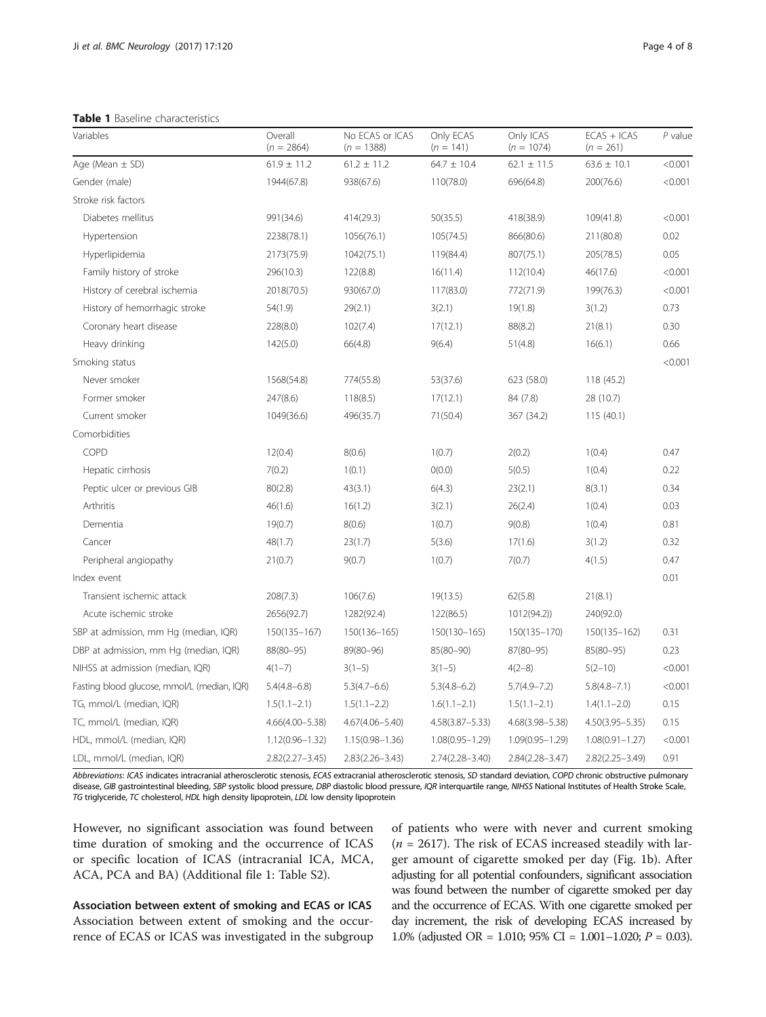<span id="page-3-0"></span>Table 1 Baseline characteristics

| Variables                                   | Overall<br>$(n = 2864)$ | No ECAS or ICAS<br>$(n = 1388)$ | Only ECAS<br>$(n = 141)$ | Only ICAS<br>$(n = 1074)$ | $ECAS + ICAS$<br>$(n = 261)$ | $P$ value |
|---------------------------------------------|-------------------------|---------------------------------|--------------------------|---------------------------|------------------------------|-----------|
| Age (Mean $\pm$ SD)                         | $61.9 \pm 11.2$         | $61.2 \pm 11.2$                 | $64.7 \pm 10.4$          | $62.1 \pm 11.5$           | $63.6 \pm 10.1$              | < 0.001   |
| Gender (male)                               | 1944(67.8)              | 938(67.6)                       | 110(78.0)                | 696(64.8)                 | 200(76.6)                    | < 0.001   |
| Stroke risk factors                         |                         |                                 |                          |                           |                              |           |
| Diabetes mellitus                           | 991(34.6)               | 414(29.3)                       | 50(35.5)                 | 418(38.9)                 | 109(41.8)                    | < 0.001   |
| Hypertension                                | 2238(78.1)              | 1056(76.1)                      | 105(74.5)                | 866(80.6)                 | 211(80.8)                    | 0.02      |
| Hyperlipidemia                              | 2173(75.9)              | 1042(75.1)                      | 119(84.4)                | 807(75.1)                 | 205(78.5)                    | 0.05      |
| Family history of stroke                    | 296(10.3)               | 122(8.8)                        | 16(11.4)                 | 112(10.4)                 | 46(17.6)                     | < 0.001   |
| History of cerebral ischemia                | 2018(70.5)              | 930(67.0)                       | 117(83.0)                | 772(71.9)                 | 199(76.3)                    | < 0.001   |
| History of hemorrhagic stroke               | 54(1.9)                 | 29(2.1)                         | 3(2.1)                   | 19(1.8)                   | 3(1.2)                       | 0.73      |
| Coronary heart disease                      | 228(8.0)                | 102(7.4)                        | 17(12.1)                 | 88(8.2)                   | 21(8.1)                      | 0.30      |
| Heavy drinking                              | 142(5.0)                | 66(4.8)                         | 9(6.4)                   | 51(4.8)                   | 16(6.1)                      | 0.66      |
| Smoking status                              |                         |                                 |                          |                           |                              | < 0.001   |
| Never smoker                                | 1568(54.8)              | 774(55.8)                       | 53(37.6)                 | 623 (58.0)                | 118 (45.2)                   |           |
| Former smoker                               | 247(8.6)                | 118(8.5)                        | 17(12.1)                 | 84 (7.8)                  | 28 (10.7)                    |           |
| Current smoker                              | 1049(36.6)              | 496(35.7)                       | 71(50.4)                 | 367 (34.2)                | 115(40.1)                    |           |
| Comorbidities                               |                         |                                 |                          |                           |                              |           |
| COPD                                        | 12(0.4)                 | 8(0.6)                          | 1(0.7)                   | 2(0.2)                    | 1(0.4)                       | 0.47      |
| Hepatic cirrhosis                           | 7(0.2)                  | 1(0.1)                          | O(0.0)                   | 5(0.5)                    | 1(0.4)                       | 0.22      |
| Peptic ulcer or previous GIB                | 80(2.8)                 | 43(3.1)                         | 6(4.3)                   | 23(2.1)                   | 8(3.1)                       | 0.34      |
| Arthritis                                   | 46(1.6)                 | 16(1.2)                         | 3(2.1)                   | 26(2.4)                   | 1(0.4)                       | 0.03      |
| Dementia                                    | 19(0.7)                 | 8(0.6)                          | 1(0.7)                   | 9(0.8)                    | 1(0.4)                       | 0.81      |
| Cancer                                      | 48(1.7)                 | 23(1.7)                         | 5(3.6)                   | 17(1.6)                   | 3(1.2)                       | 0.32      |
| Peripheral angiopathy                       | 21(0.7)                 | 9(0.7)                          | 1(0.7)                   | 7(0.7)                    | 4(1.5)                       | 0.47      |
| Index event                                 |                         |                                 |                          |                           |                              | 0.01      |
| Transient ischemic attack                   | 208(7.3)                | 106(7.6)                        | 19(13.5)                 | 62(5.8)                   | 21(8.1)                      |           |
| Acute ischemic stroke                       | 2656(92.7)              | 1282(92.4)                      | 122(86.5)                | 1012(94.2)                | 240(92.0)                    |           |
| SBP at admission, mm Hg (median, IQR)       | 150(135-167)            | 150(136-165)                    | 150(130-165)             | 150(135-170)              | 150(135-162)                 | 0.31      |
| DBP at admission, mm Hg (median, IQR)       | 88(80-95)               | 89(80-96)                       | $85(80 - 90)$            | 87(80-95)                 | $85(80 - 95)$                | 0.23      |
| NIHSS at admission (median, IQR)            | $4(1-7)$                | $3(1-5)$                        | $3(1-5)$                 | $4(2-8)$                  | $5(2-10)$                    | < 0.001   |
| Fasting blood glucose, mmol/L (median, IQR) | $5.4(4.8 - 6.8)$        | $5.3(4.7 - 6.6)$                | $5.3(4.8-6.2)$           | $5.7(4.9 - 7.2)$          | $5.8(4.8 - 7.1)$             | < 0.001   |
| TG, mmol/L (median, IQR)                    | $1.5(1.1 - 2.1)$        | $1.5(1.1 - 2.2)$                | $1.6(1.1 - 2.1)$         | $1.5(1.1 - 2.1)$          | $1.4(1.1 - 2.0)$             | 0.15      |
| TC, mmol/L (median, IQR)                    | $4.66(4.00 - 5.38)$     | $4.67(4.06 - 5.40)$             | $4.58(3.87 - 5.33)$      | 4.68(3.98-5.38)           | $4.50(3.95 - 5.35)$          | 0.15      |
| HDL, mmol/L (median, IQR)                   | $1.12(0.96 - 1.32)$     | $1.15(0.98 - 1.36)$             | $1.08(0.95 - 1.29)$      | $1.09(0.95 - 1.29)$       | $1.08(0.91 - 1.27)$          | < 0.001   |
| LDL, mmol/L (median, IQR)                   | $2.82(2.27 - 3.45)$     | $2.83(2.26 - 3.43)$             | 2.74(2.28-3.40)          | $2.84(2.28 - 3.47)$       | $2.82(2.25 - 3.49)$          | 0.91      |

Abbreviations: ICAS indicates intracranial atherosclerotic stenosis, ECAS extracranial atherosclerotic stenosis, SD standard deviation, COPD chronic obstructive pulmonary disease, GIB gastrointestinal bleeding, SBP systolic blood pressure, DBP diastolic blood pressure, IQR interquartile range, NIHSS National Institutes of Health Stroke Scale, TG triglyceride, TC cholesterol, HDL high density lipoprotein, LDL low density lipoprotein

However, no significant association was found between time duration of smoking and the occurrence of ICAS or specific location of ICAS (intracranial ICA, MCA, ACA, PCA and BA) (Additional file [1](#page-6-0): Table S2).

Association between extent of smoking and ECAS or ICAS Association between extent of smoking and the occurrence of ECAS or ICAS was investigated in the subgroup

of patients who were with never and current smoking  $(n = 2617)$ . The risk of ECAS increased steadily with larger amount of cigarette smoked per day (Fig. [1b](#page-5-0)). After adjusting for all potential confounders, significant association was found between the number of cigarette smoked per day and the occurrence of ECAS. With one cigarette smoked per day increment, the risk of developing ECAS increased by 1.0% (adjusted OR = 1.010; 95% CI = 1.001–1.020; P = 0.03).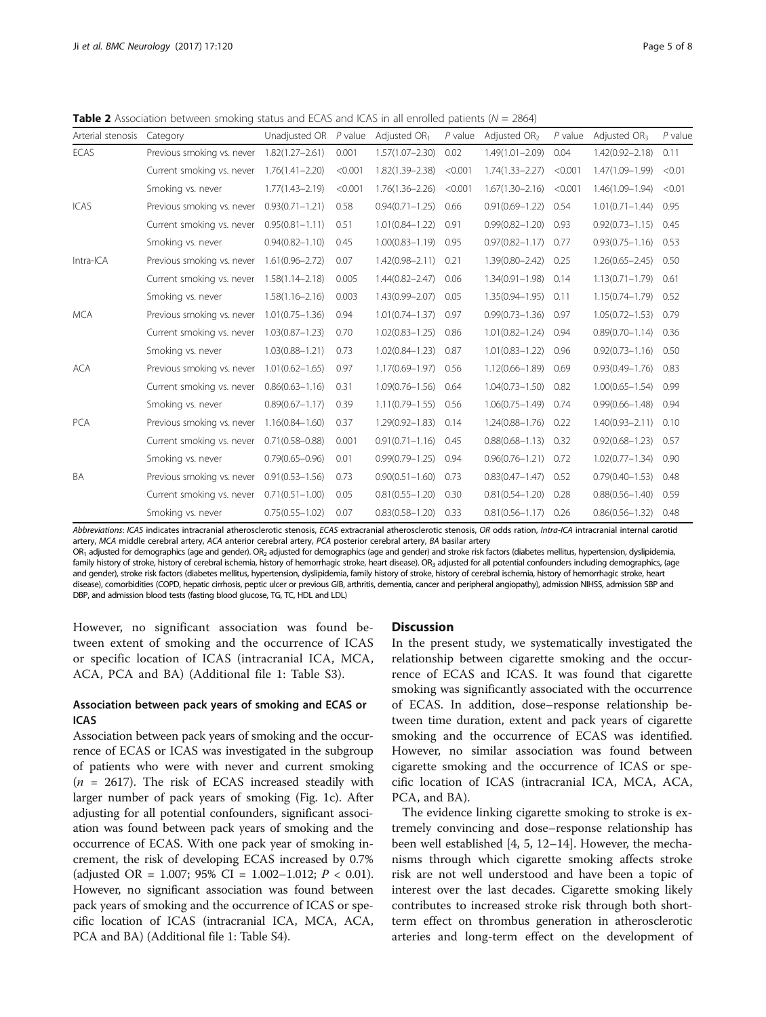<span id="page-4-0"></span>**Table 2** Association between smoking status and ECAS and ICAS in all enrolled patients ( $N = 2864$ )

| Arterial stenosis | Category                   | Unadjusted OR       | $P$ value | Adjusted $OR1$      | $P$ value | Adiusted OR <sub>2</sub> | $P$ value | Adiusted OR <sub>3</sub> | $P$ value |
|-------------------|----------------------------|---------------------|-----------|---------------------|-----------|--------------------------|-----------|--------------------------|-----------|
| <b>ECAS</b>       | Previous smoking vs. never | $1.82(1.27 - 2.61)$ | 0.001     | $1.57(1.07 - 2.30)$ | 0.02      | $1.49(1.01 - 2.09)$      | 0.04      | $1.42(0.92 - 2.18)$      | 0.11      |
|                   | Current smoking vs. never  | $1.76(1.41 - 2.20)$ | < 0.001   | 1.82(1.39-2.38)     | < 0.001   | $1.74(1.33 - 2.27)$      | < 0.001   | 1.47(1.09-1.99)          | < 0.01    |
|                   | Smoking vs. never          | $1.77(1.43 - 2.19)$ | < 0.001   | $1.76(1.36 - 2.26)$ | < 0.001   | $1.67(1.30 - 2.16)$      | < 0.001   | $1.46(1.09 - 1.94)$      | < 0.01    |
| ICAS              | Previous smoking vs. never | $0.93(0.71 - 1.21)$ | 0.58      | $0.94(0.71 - 1.25)$ | 0.66      | $0.91(0.69 - 1.22)$      | 0.54      | $1.01(0.71 - 1.44)$      | 0.95      |
|                   | Current smoking vs. never  | $0.95(0.81 - 1.11)$ | 0.51      | $1.01(0.84 - 1.22)$ | 0.91      | $0.99(0.82 - 1.20)$      | 0.93      | $0.92(0.73 - 1.15)$      | 0.45      |
|                   | Smoking vs. never          | $0.94(0.82 - 1.10)$ | 0.45      | $1.00(0.83 - 1.19)$ | 0.95      | $0.97(0.82 - 1.17)$      | 0.77      | $0.93(0.75 - 1.16)$      | 0.53      |
| Intra-ICA         | Previous smoking vs. never | $1.61(0.96 - 2.72)$ | 0.07      | $1.42(0.98 - 2.11)$ | 0.21      | $1.39(0.80 - 2.42)$      | 0.25      | $1.26(0.65 - 2.45)$      | 0.50      |
|                   | Current smoking vs. never  | $1.58(1.14 - 2.18)$ | 0.005     | $1.44(0.82 - 2.47)$ | 0.06      | $1.34(0.91 - 1.98)$      | 0.14      | $1.13(0.71 - 1.79)$      | 0.61      |
|                   | Smoking vs. never          | $1.58(1.16 - 2.16)$ | 0.003     | $1.43(0.99 - 2.07)$ | 0.05      | $1.35(0.94 - 1.95)$      | 0.11      | $1.15(0.74 - 1.79)$      | 0.52      |
| <b>MCA</b>        | Previous smoking vs. never | $1.01(0.75 - 1.36)$ | 0.94      | $1.01(0.74 - 1.37)$ | 0.97      | $0.99(0.73 - 1.36)$      | 0.97      | $1.05(0.72 - 1.53)$      | 0.79      |
|                   | Current smoking vs. never  | $1.03(0.87 - 1.23)$ | 0.70      | $1.02(0.83 - 1.25)$ | 0.86      | $1.01(0.82 - 1.24)$      | 0.94      | $0.89(0.70 - 1.14)$      | 0.36      |
|                   | Smoking vs. never          | $1.03(0.88 - 1.21)$ | 0.73      | $1.02(0.84 - 1.23)$ | 0.87      | $1.01(0.83 - 1.22)$      | 0.96      | $0.92(0.73 - 1.16)$      | 0.50      |
| <b>ACA</b>        | Previous smoking vs. never | $1.01(0.62 - 1.65)$ | 0.97      | $1.17(0.69 - 1.97)$ | 0.56      | $1.12(0.66 - 1.89)$      | 0.69      | $0.93(0.49 - 1.76)$      | 0.83      |
|                   | Current smoking vs. never  | $0.86(0.63 - 1.16)$ | 0.31      | $1.09(0.76 - 1.56)$ | 0.64      | $1.04(0.73 - 1.50)$      | 0.82      | $1.00(0.65 - 1.54)$      | 0.99      |
|                   | Smoking vs. never          | $0.89(0.67 - 1.17)$ | 0.39      | $1.11(0.79 - 1.55)$ | 0.56      | $1.06(0.75 - 1.49)$      | 0.74      | $0.99(0.66 - 1.48)$      | 0.94      |
| <b>PCA</b>        | Previous smoking vs. never | $1.16(0.84 - 1.60)$ | 0.37      | $1.29(0.92 - 1.83)$ | 0.14      | $1.24(0.88 - 1.76)$      | 0.22      | $1.40(0.93 - 2.11)$      | 0.10      |
|                   | Current smoking vs. never  | $0.71(0.58 - 0.88)$ | 0.001     | $0.91(0.71 - 1.16)$ | 0.45      | $0.88(0.68 - 1.13)$      | 0.32      | $0.92(0.68 - 1.23)$      | 0.57      |
|                   | Smoking vs. never          | $0.79(0.65 - 0.96)$ | 0.01      | $0.99(0.79 - 1.25)$ | 0.94      | $0.96(0.76 - 1.21)$      | 0.72      | $1.02(0.77 - 1.34)$      | 0.90      |
| BA                | Previous smoking vs. never | $0.91(0.53 - 1.56)$ | 0.73      | $0.90(0.51 - 1.60)$ | 0.73      | $0.83(0.47 - 1.47)$      | 0.52      | $0.79(0.40 - 1.53)$      | 0.48      |
|                   | Current smoking vs. never  | $0.71(0.51 - 1.00)$ | 0.05      | $0.81(0.55 - 1.20)$ | 0.30      | $0.81(0.54 - 1.20)$      | 0.28      | $0.88(0.56 - 1.40)$      | 0.59      |
|                   | Smoking vs. never          | $0.75(0.55 - 1.02)$ | 0.07      | $0.83(0.58 - 1.20)$ | 0.33      | $0.81(0.56 - 1.17)$      | 0.26      | $0.86(0.56 - 1.32)$      | 0.48      |
|                   |                            |                     |           |                     |           |                          |           |                          |           |

Abbreviations: ICAS indicates intracranial atherosclerotic stenosis, ECAS extracranial atherosclerotic stenosis, OR odds ration, Intra-ICA intracranial internal carotid artery, MCA middle cerebral artery, ACA anterior cerebral artery, PCA posterior cerebral artery, BA basilar artery

OR<sub>1</sub> adjusted for demographics (age and gender). OR<sub>2</sub> adjusted for demographics (age and gender) and stroke risk factors (diabetes mellitus, hypertension, dyslipidemia, family history of stroke, history of cerebral ischemia, history of hemorrhagic stroke, heart disease). OR<sub>3</sub> adjusted for all potential confounders including demographics, (age and gender), stroke risk factors (diabetes mellitus, hypertension, dyslipidemia, family history of stroke, history of cerebral ischemia, history of hemorrhagic stroke, heart disease), comorbidities (COPD, hepatic cirrhosis, peptic ulcer or previous GIB, arthritis, dementia, cancer and peripheral angiopathy), admission NIHSS, admission SBP and DBP, and admission blood tests (fasting blood glucose, TG, TC, HDL and LDL)

However, no significant association was found between extent of smoking and the occurrence of ICAS or specific location of ICAS (intracranial ICA, MCA, ACA, PCA and BA) (Additional file [1](#page-6-0): Table S3).

# Association between pack years of smoking and ECAS or ICAS

Association between pack years of smoking and the occurrence of ECAS or ICAS was investigated in the subgroup of patients who were with never and current smoking  $(n = 2617)$ . The risk of ECAS increased steadily with larger number of pack years of smoking (Fig. [1c\)](#page-5-0). After adjusting for all potential confounders, significant association was found between pack years of smoking and the occurrence of ECAS. With one pack year of smoking increment, the risk of developing ECAS increased by 0.7% (adjusted OR = 1.007; 95% CI = 1.002-1.012;  $P < 0.01$ ). However, no significant association was found between pack years of smoking and the occurrence of ICAS or specific location of ICAS (intracranial ICA, MCA, ACA, PCA and BA) (Additional file [1:](#page-6-0) Table S4).

#### **Discussion**

In the present study, we systematically investigated the relationship between cigarette smoking and the occurrence of ECAS and ICAS. It was found that cigarette smoking was significantly associated with the occurrence of ECAS. In addition, dose–response relationship between time duration, extent and pack years of cigarette smoking and the occurrence of ECAS was identified. However, no similar association was found between cigarette smoking and the occurrence of ICAS or specific location of ICAS (intracranial ICA, MCA, ACA, PCA, and BA).

The evidence linking cigarette smoking to stroke is extremely convincing and dose–response relationship has been well established [\[4](#page-7-0), [5](#page-7-0), [12](#page-7-0)–[14\]](#page-7-0). However, the mechanisms through which cigarette smoking affects stroke risk are not well understood and have been a topic of interest over the last decades. Cigarette smoking likely contributes to increased stroke risk through both shortterm effect on thrombus generation in atherosclerotic arteries and long-term effect on the development of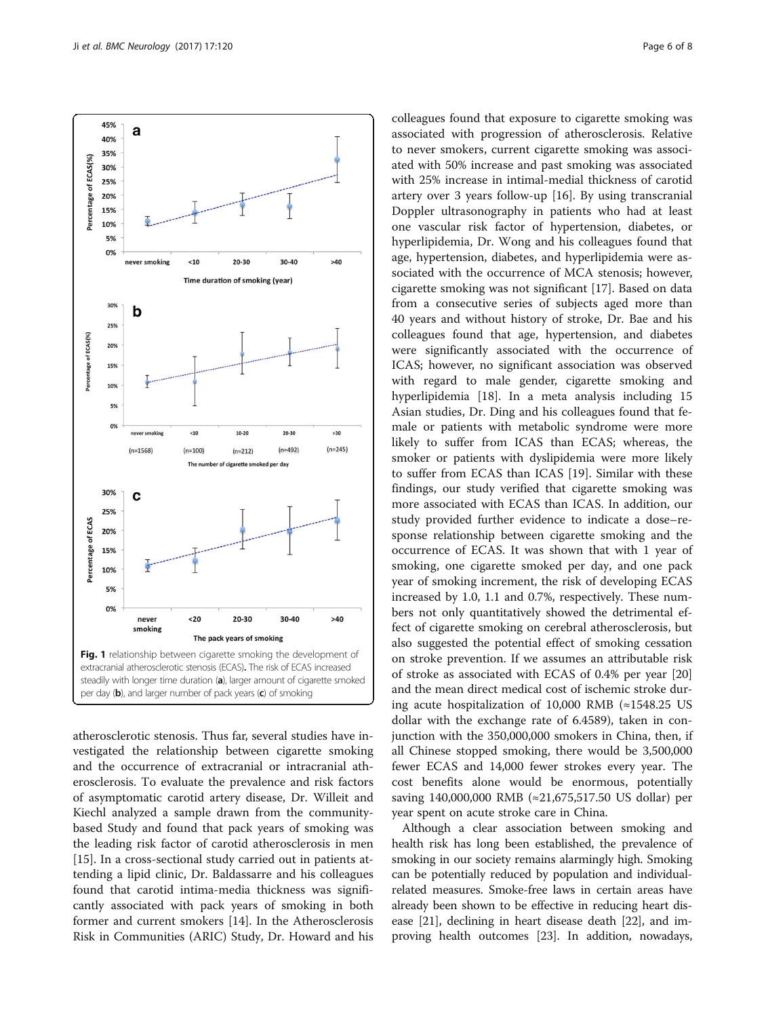<span id="page-5-0"></span>

atherosclerotic stenosis. Thus far, several studies have investigated the relationship between cigarette smoking and the occurrence of extracranial or intracranial atherosclerosis. To evaluate the prevalence and risk factors of asymptomatic carotid artery disease, Dr. Willeit and Kiechl analyzed a sample drawn from the communitybased Study and found that pack years of smoking was the leading risk factor of carotid atherosclerosis in men [[15\]](#page-7-0). In a cross-sectional study carried out in patients attending a lipid clinic, Dr. Baldassarre and his colleagues found that carotid intima-media thickness was significantly associated with pack years of smoking in both former and current smokers [[14\]](#page-7-0). In the Atherosclerosis Risk in Communities (ARIC) Study, Dr. Howard and his colleagues found that exposure to cigarette smoking was associated with progression of atherosclerosis. Relative to never smokers, current cigarette smoking was associated with 50% increase and past smoking was associated with 25% increase in intimal-medial thickness of carotid artery over 3 years follow-up [[16](#page-7-0)]. By using transcranial Doppler ultrasonography in patients who had at least one vascular risk factor of hypertension, diabetes, or hyperlipidemia, Dr. Wong and his colleagues found that age, hypertension, diabetes, and hyperlipidemia were associated with the occurrence of MCA stenosis; however, cigarette smoking was not significant [[17\]](#page-7-0). Based on data from a consecutive series of subjects aged more than 40 years and without history of stroke, Dr. Bae and his colleagues found that age, hypertension, and diabetes were significantly associated with the occurrence of ICAS; however, no significant association was observed with regard to male gender, cigarette smoking and hyperlipidemia [[18](#page-7-0)]. In a meta analysis including 15 Asian studies, Dr. Ding and his colleagues found that female or patients with metabolic syndrome were more likely to suffer from ICAS than ECAS; whereas, the smoker or patients with dyslipidemia were more likely to suffer from ECAS than ICAS [[19\]](#page-7-0). Similar with these findings, our study verified that cigarette smoking was more associated with ECAS than ICAS. In addition, our study provided further evidence to indicate a dose–response relationship between cigarette smoking and the occurrence of ECAS. It was shown that with 1 year of smoking, one cigarette smoked per day, and one pack year of smoking increment, the risk of developing ECAS increased by 1.0, 1.1 and 0.7%, respectively. These numbers not only quantitatively showed the detrimental effect of cigarette smoking on cerebral atherosclerosis, but also suggested the potential effect of smoking cessation on stroke prevention. If we assumes an attributable risk of stroke as associated with ECAS of 0.4% per year [[20](#page-7-0)] and the mean direct medical cost of ischemic stroke during acute hospitalization of 10,000 RMB (≈1548.25 US dollar with the exchange rate of 6.4589), taken in conjunction with the 350,000,000 smokers in China, then, if all Chinese stopped smoking, there would be 3,500,000 fewer ECAS and 14,000 fewer strokes every year. The cost benefits alone would be enormous, potentially saving 140,000,000 RMB (≈21,675,517.50 US dollar) per year spent on acute stroke care in China.

Although a clear association between smoking and health risk has long been established, the prevalence of smoking in our society remains alarmingly high. Smoking can be potentially reduced by population and individualrelated measures. Smoke-free laws in certain areas have already been shown to be effective in reducing heart disease [[21](#page-7-0)], declining in heart disease death [[22](#page-7-0)], and improving health outcomes [\[23](#page-7-0)]. In addition, nowadays,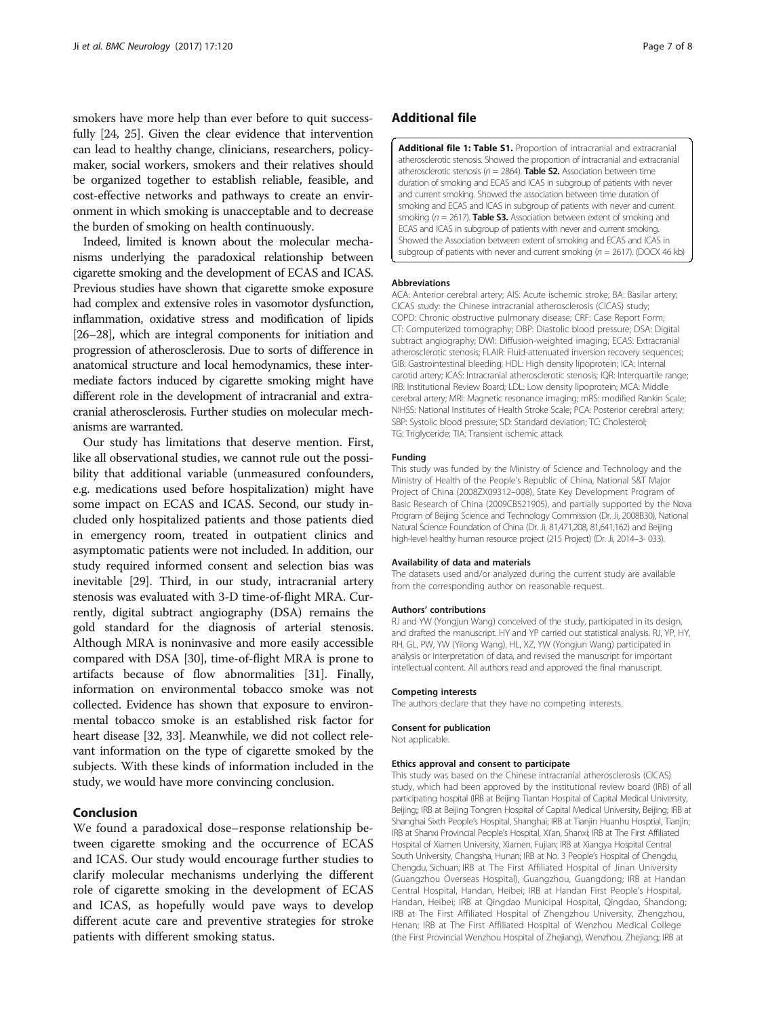<span id="page-6-0"></span>smokers have more help than ever before to quit successfully [\[24, 25](#page-7-0)]. Given the clear evidence that intervention can lead to healthy change, clinicians, researchers, policymaker, social workers, smokers and their relatives should be organized together to establish reliable, feasible, and cost-effective networks and pathways to create an environment in which smoking is unacceptable and to decrease the burden of smoking on health continuously.

Indeed, limited is known about the molecular mechanisms underlying the paradoxical relationship between cigarette smoking and the development of ECAS and ICAS. Previous studies have shown that cigarette smoke exposure had complex and extensive roles in vasomotor dysfunction, inflammation, oxidative stress and modification of lipids [[26](#page-7-0)–[28](#page-7-0)], which are integral components for initiation and progression of atherosclerosis. Due to sorts of difference in anatomical structure and local hemodynamics, these intermediate factors induced by cigarette smoking might have different role in the development of intracranial and extracranial atherosclerosis. Further studies on molecular mechanisms are warranted.

Our study has limitations that deserve mention. First, like all observational studies, we cannot rule out the possibility that additional variable (unmeasured confounders, e.g. medications used before hospitalization) might have some impact on ECAS and ICAS. Second, our study included only hospitalized patients and those patients died in emergency room, treated in outpatient clinics and asymptomatic patients were not included. In addition, our study required informed consent and selection bias was inevitable [[29](#page-7-0)]. Third, in our study, intracranial artery stenosis was evaluated with 3-D time-of-flight MRA. Currently, digital subtract angiography (DSA) remains the gold standard for the diagnosis of arterial stenosis. Although MRA is noninvasive and more easily accessible compared with DSA [\[30\]](#page-7-0), time-of-flight MRA is prone to artifacts because of flow abnormalities [[31](#page-7-0)]. Finally, information on environmental tobacco smoke was not collected. Evidence has shown that exposure to environmental tobacco smoke is an established risk factor for heart disease [[32](#page-7-0), [33\]](#page-7-0). Meanwhile, we did not collect relevant information on the type of cigarette smoked by the subjects. With these kinds of information included in the study, we would have more convincing conclusion.

#### Conclusion

We found a paradoxical dose–response relationship between cigarette smoking and the occurrence of ECAS and ICAS. Our study would encourage further studies to clarify molecular mechanisms underlying the different role of cigarette smoking in the development of ECAS and ICAS, as hopefully would pave ways to develop different acute care and preventive strategies for stroke patients with different smoking status.

# Additional file

[Additional file 1: Table S1.](dx.doi.org/10.1186/s12883-017-0873-7) Proportion of intracranial and extracranial atherosclerotic stenosis. Showed the proportion of intracranial and extracranial atherosclerotic stenosis ( $n = 2864$ ). Table S2. Association between time duration of smoking and ECAS and ICAS in subgroup of patients with never and current smoking. Showed the association between time duration of smoking and ECAS and ICAS in subgroup of patients with never and current smoking ( $n = 2617$ ). **Table S3.** Association between extent of smoking and ECAS and ICAS in subgroup of patients with never and current smoking. Showed the Association between extent of smoking and ECAS and ICAS in subgroup of patients with never and current smoking ( $n = 2617$ ). (DOCX 46 kb)

#### Abbreviations

ACA: Anterior cerebral artery; AIS: Acute ischemic stroke; BA: Basilar artery; CICAS study: the Chinese intracranial atherosclerosis (CICAS) study; COPD: Chronic obstructive pulmonary disease; CRF: Case Report Form; CT: Computerized tomography; DBP: Diastolic blood pressure; DSA: Digital subtract angiography; DWI: Diffusion-weighted imaging; ECAS: Extracranial atherosclerotic stenosis; FLAIR: Fluid-attenuated inversion recovery sequences; GIB: Gastrointestinal bleeding; HDL: High density lipoprotein; ICA: Internal carotid artery; ICAS: Intracranial atherosclerotic stenosis; IQR: Interquartile range; IRB: Institutional Review Board; LDL: Low density lipoprotein; MCA: Middle cerebral artery; MRI: Magnetic resonance imaging; mRS: modified Rankin Scale; NIHSS: National Institutes of Health Stroke Scale; PCA: Posterior cerebral artery; SBP: Systolic blood pressure; SD: Standard deviation; TC: Cholesterol; TG: Triglyceride; TIA: Transient ischemic attack

#### Funding

This study was funded by the Ministry of Science and Technology and the Ministry of Health of the People's Republic of China, National S&T Major Project of China (2008ZX09312–008), State Key Development Program of Basic Research of China (2009CB521905), and partially supported by the Nova Program of Beijing Science and Technology Commission (Dr. Ji, 2008B30), National Natural Science Foundation of China (Dr. Ji, 81,471,208, 81,641,162) and Beijing high-level healthy human resource project (215 Project) (Dr. Ji, 2014–3- 033).

#### Availability of data and materials

The datasets used and/or analyzed during the current study are available from the corresponding author on reasonable request.

#### Authors' contributions

RJ and YW (Yongjun Wang) conceived of the study, participated in its design, and drafted the manuscript. HY and YP carried out statistical analysis. RJ, YP, HY, RH, GL, PW, YW (Yilong Wang), HL, XZ, YW (Yongjun Wang) participated in analysis or interpretation of data, and revised the manuscript for important intellectual content. All authors read and approved the final manuscript.

#### Competing interests

The authors declare that they have no competing interests.

#### Consent for publication

Not applicable.

#### Ethics approval and consent to participate

This study was based on the Chinese intracranial atherosclerosis (CICAS) study, which had been approved by the institutional review board (IRB) of all participating hospital (IRB at Beijing Tiantan Hospital of Capital Medical University, Beijing;; IRB at Beijing Tongren Hospital of Capital Medical University, Beijing; IRB at Shanghai Sixth People's Hospital, Shanghai; IRB at Tianjin Huanhu Hosptial, Tianjin; IRB at Shanxi Provincial People's Hospital, Xi'an, Shanxi; IRB at The First Affiliated Hospital of Xiamen University, Xiamen, Fujian; IRB at Xiangya Hospital Central South University, Changsha, Hunan; IRB at No. 3 People's Hospital of Chengdu, Chengdu, Sichuan; IRB at The First Affiliated Hospital of Jinan University (Guangzhou Overseas Hospital), Guangzhou, Guangdong; IRB at Handan Central Hospital, Handan, Heibei; IRB at Handan First People's Hospital, Handan, Heibei; IRB at Qingdao Municipal Hospital, Qingdao, Shandong; IRB at The First Affiliated Hospital of Zhengzhou University, Zhengzhou, Henan; IRB at The First Affiliated Hospital of Wenzhou Medical College (the First Provincial Wenzhou Hospital of Zhejiang), Wenzhou, Zhejiang; IRB at